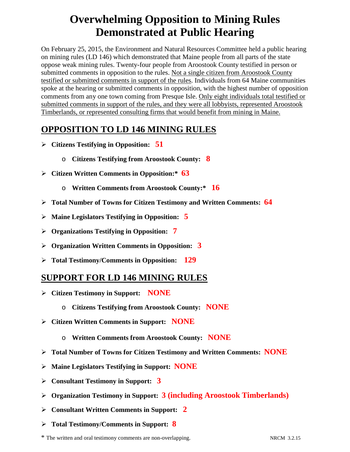## **Overwhelming Opposition to Mining Rules Demonstrated at Public Hearing**

On February 25, 2015, the Environment and Natural Resources Committee held a public hearing on mining rules (LD 146) which demonstrated that Maine people from all parts of the state oppose weak mining rules. Twenty-four people from Aroostook County testified in person or submitted comments in opposition to the rules. Not a single citizen from Aroostook County testified or submitted comments in support of the rules. Individuals from 64 Maine communities spoke at the hearing or submitted comments in opposition, with the highest number of opposition comments from any one town coming from Presque Isle. Only eight individuals total testified or submitted comments in support of the rules, and they were all lobbyists, represented Aroostook Timberlands, or represented consulting firms that would benefit from mining in Maine.

## **OPPOSITION TO LD 146 MINING RULES**

- **Citizens Testifying in Opposition: 51**
	- o **Citizens Testifying from Aroostook County: 8**
- **Citizen Written Comments in Opposition:\* 63**
	- o **Written Comments from Aroostook County:\* 16**
- **Total Number of Towns for Citizen Testimony and Written Comments: 64**
- **Maine Legislators Testifying in Opposition: 5**
- **Organizations Testifying in Opposition: 7**
- **Organization Written Comments in Opposition: 3**
- **Total Testimony/Comments in Opposition: 129**

## **SUPPORT FOR LD 146 MINING RULES**

- **Citizen Testimony in Support: NONE**
	- o **Citizens Testifying from Aroostook County: NONE**
- **Citizen Written Comments in Support: NONE**
	- o **Written Comments from Aroostook County: NONE**
- **Total Number of Towns for Citizen Testimony and Written Comments: NONE**
- **Maine Legislators Testifying in Support: NONE**
- **Consultant Testimony in Support: 3**
- **Organization Testimony in Support: 3 (including Aroostook Timberlands)**
- **Consultant Written Comments in Support: 2**
- **Total Testimony/Comments in Support: 8**

\* The written and oral testimony comments are non-overlapping. NRCM 3.2.15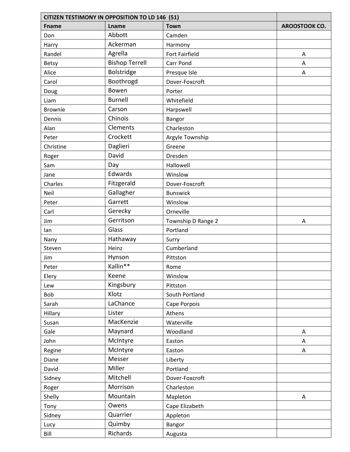| <b>CITIZEN TESTIMONY IN OPPOSITION TO LD 146 (51)</b> |                       |                       |               |
|-------------------------------------------------------|-----------------------|-----------------------|---------------|
| <b>Fname</b>                                          | Lname                 | <b>Town</b>           | AROOSTOOK CO. |
| Don                                                   | Abbott                | Camden                |               |
| Harry                                                 | Ackerman              | Harmony               |               |
| Randel                                                | Agrella               | <b>Fort Fairfield</b> | Α             |
| Betsy                                                 | <b>Bishop Terrell</b> | Carr Pond             | A             |
| Alice                                                 | Bolstridge            | Presque Isle          | A             |
| Carol                                                 | Boothrogd             | Dover-Foxcroft        |               |
| Doug                                                  | Bowen                 | Porter                |               |
| Liam                                                  | <b>Burnell</b>        | Whitefield            |               |
| <b>Brownie</b>                                        | Carson                | Harpswell             |               |
| Dennis                                                | Chinois               | Bangor                |               |
| Alan                                                  | Clements              | Charleston            |               |
| Peter                                                 | Crockett              | Argyle Township       |               |
| Christine                                             | Daglieri              | Greene                |               |
| Roger                                                 | David                 | Dresden               |               |
| Sam                                                   | Day                   | Hallowell             |               |
| Jane                                                  | Edwards               | Winslow               |               |
| Charles                                               | Fitzgerald            | Dover-Foxcroft        |               |
| Neil                                                  | Gallagher             | <b>Bunswick</b>       |               |
| Peter                                                 | Garrett               | Winslow               |               |
| Carl                                                  | Gerecky               | Orneville             |               |
| Jim                                                   | Gerritson             | Township D Range 2    | A             |
| lan                                                   | Glass                 | Portland              |               |
| Nany                                                  | Hathaway              | Surry                 |               |
| Steven                                                | Heinz                 | Cumberland            |               |
| Jim                                                   | Hynson                | Pittston              |               |
| Peter                                                 | Kallin**              | Rome                  |               |
| Elery                                                 | Keene                 | Winslow               |               |
| Lew                                                   | Kingsbury             | Pittston              |               |
| Bob                                                   | Klotz                 | South Portland        |               |
| Sarah                                                 | LaChance              | Cape Porpois          |               |
| Hillary                                               | Lister                | Athens                |               |
| Susan                                                 | MacKenzie             | Waterville            |               |
| Gale                                                  | Maynard               | Woodland              | Α             |
| John                                                  | McIntyre              | Easton                | Α             |
| Regine                                                | McIntyre              | Easton                | Α             |
| Diane                                                 | Messer                | Liberty               |               |
| David                                                 | Miller                | Portland              |               |
| Sidney                                                | Mitchell              | Dover-Foxcroft        |               |
| Roger                                                 | Morrison              | Charleston            |               |
| Shelly                                                | Mountain              | Mapleton              | Α             |
| Tony                                                  | Owens                 | Cape Elizabeth        |               |
| Sidney                                                | Quarrier              | Appleton              |               |
| Lucy                                                  | Quimby                | Bangor                |               |
| Bill                                                  | Richards              | Augusta               |               |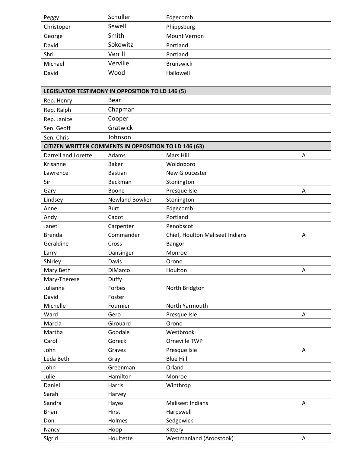| Peggy               | Schuller                                                     | Edgecomb                        |   |
|---------------------|--------------------------------------------------------------|---------------------------------|---|
| Christoper          | Sewell                                                       | Phippsburg                      |   |
| George              | Smith                                                        | Mount Vernon                    |   |
| David               | Sokowitz                                                     | Portland                        |   |
| Shri                | Verrill                                                      | Portland                        |   |
| Michael             | Verville                                                     | <b>Brunswick</b>                |   |
| David               | Wood                                                         | Hallowell                       |   |
|                     |                                                              |                                 |   |
|                     | LEGISLATOR TESTIMONY IN OPPOSITION TO LD 146 (5)             |                                 |   |
| Rep. Henry          | Bear                                                         |                                 |   |
| Rep. Ralph          | Chapman                                                      |                                 |   |
| Rep. Janice         | Cooper                                                       |                                 |   |
| Sen. Geoff          | Gratwick                                                     |                                 |   |
| Sen. Chris          | Johnson                                                      |                                 |   |
|                     | <b>CITIZEN WRITTEN COMMENTS IN OPPOSITION TO LD 146 (63)</b> |                                 |   |
| Darrell and Lorette | Adams                                                        | Mars Hill                       | A |
| Krisanne            | <b>Baker</b>                                                 | Woldoboro                       |   |
| Lawrence            | <b>Bastian</b>                                               | New Gloucester                  |   |
| Siri                | Beckman                                                      | Stonington                      |   |
| Gary                | Boone                                                        | Presque Isle                    | Α |
| Lindsey             | Newland Bowker                                               | Stonington                      |   |
| Anne                | <b>Burt</b>                                                  | Edgecomb                        |   |
| Andy                | Cadot                                                        | Portland                        |   |
| Janet               | Carpenter                                                    | Penobscot                       |   |
| <b>Brenda</b>       | Commander                                                    | Chief, Houlton Maliseet Indians | A |
| Geraldine           | Cross                                                        | Bangor                          |   |
| Larry               | Dansinger                                                    | Monroe                          |   |
| Shirley             | Davis                                                        | Orono                           |   |
| Mary Beth           | DiMarco                                                      | Houlton                         | A |
| Mary-Therese        | Duffy                                                        |                                 |   |
| Julianne            | Forbes                                                       | North Bridgton                  |   |
| David               | Foster                                                       |                                 |   |
| Michelle            | Fournier                                                     | North Yarmouth                  |   |
| Ward                | Gero                                                         | Presque Isle                    | Α |
| Marcia              | Girouard                                                     | Orono                           |   |
| Martha              | Goodale                                                      | Westbrook                       |   |
| Carol               | Gorecki                                                      | Orneville TWP                   |   |
| John                | Graves                                                       | Presque Isle                    | A |
| Leda Beth           | Gray                                                         | <b>Blue Hill</b>                |   |
| John                | Greenman                                                     | Orland                          |   |
| Julie               | Hamilton                                                     | Monroe                          |   |
| Daniel              | Harris                                                       | Winthrop                        |   |
| Sarah               | Harvey                                                       |                                 |   |
| Sandra              | Hayes                                                        | <b>Maliseet Indians</b>         | Α |
| <b>Brian</b>        | Hirst                                                        | Harpswell                       |   |
| Don                 | Holmes                                                       | Sedgewick                       |   |
| Nancy               | Hoop                                                         | Kittery                         |   |
| Sigrid              | Houltette                                                    | Westmanland (Aroostook)         | Α |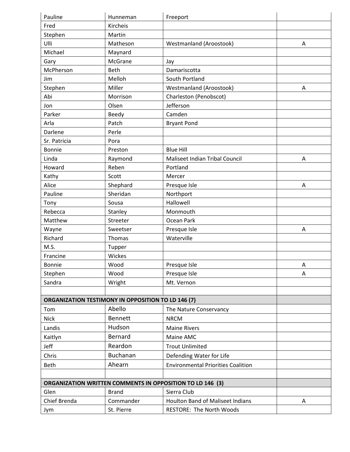| Pauline                                                   | Hunneman       | Freeport                                                         |   |
|-----------------------------------------------------------|----------------|------------------------------------------------------------------|---|
| Fred                                                      | Kircheis       |                                                                  |   |
| Stephen                                                   | Martin         |                                                                  |   |
| Ulli                                                      | Matheson       | Westmanland (Aroostook)                                          | Α |
| Michael                                                   | Maynard        |                                                                  |   |
| Gary                                                      | McGrane        | Jay                                                              |   |
| McPherson                                                 | Beth           | Damariscotta                                                     |   |
| Jim                                                       | Melloh         | South Portland                                                   |   |
| Stephen                                                   | Miller         | Westmanland (Aroostook)                                          | A |
| Abi                                                       | Morrison       | Charleston (Penobscot)                                           |   |
| Jon                                                       | Olsen          | Jefferson                                                        |   |
| Parker                                                    | Beedy          | Camden                                                           |   |
| Arla                                                      | Patch          | <b>Bryant Pond</b>                                               |   |
| Darlene                                                   | Perle          |                                                                  |   |
| Sr. Patricia                                              | Pora           |                                                                  |   |
| Bonnie                                                    | Preston        | <b>Blue Hill</b>                                                 |   |
| Linda                                                     | Raymond        | Maliseet Indian Tribal Council                                   | Α |
| Howard                                                    | Reben          | Portland                                                         |   |
| Kathy                                                     | Scott          | Mercer                                                           |   |
| Alice                                                     | Shephard       | Presque Isle                                                     | Α |
| Pauline                                                   | Sheridan       | Northport                                                        |   |
| Tony                                                      | Sousa          | Hallowell                                                        |   |
| Rebecca                                                   | Stanley        | Monmouth                                                         |   |
| Matthew                                                   | Streeter       | Ocean Park                                                       |   |
| Wayne                                                     | Sweetser       | Presque Isle                                                     | Α |
| Richard                                                   | Thomas         | Waterville                                                       |   |
| M.S.                                                      | Tupper         |                                                                  |   |
| Francine                                                  | Wickes         |                                                                  |   |
| <b>Bonnie</b>                                             | Wood           | Presque Isle                                                     | A |
| Stephen                                                   | Wood           | Presque Isle                                                     | Α |
| Sandra                                                    | Wright         | Mt. Vernon                                                       |   |
|                                                           |                |                                                                  |   |
| <b>ORGANIZATION TESTIMONY IN OPPOSITION TO LD 146 (7)</b> |                |                                                                  |   |
| Tom                                                       | Abello         | The Nature Conservancy                                           |   |
| <b>Nick</b>                                               | <b>Bennett</b> | <b>NRCM</b>                                                      |   |
| Landis                                                    | Hudson         | <b>Maine Rivers</b>                                              |   |
| Kaitlyn                                                   | <b>Bernard</b> | Maine AMC                                                        |   |
| Jeff                                                      | Reardon        | <b>Trout Unlimited</b>                                           |   |
| Chris                                                     | Buchanan       | Defending Water for Life                                         |   |
| <b>Beth</b>                                               | Ahearn         | <b>Environmental Priorities Coalition</b>                        |   |
|                                                           |                |                                                                  |   |
|                                                           |                | <b>ORGANIZATION WRITTEN COMMENTS IN OPPOSITION TO LD 146 (3)</b> |   |
| Glen                                                      | <b>Brand</b>   | Sierra Club                                                      |   |
| Chief Brenda                                              | Commander      | <b>Houlton Band of Maliseet Indians</b>                          | Α |
| Jym                                                       | St. Pierre     | RESTORE: The North Woods                                         |   |
|                                                           |                |                                                                  |   |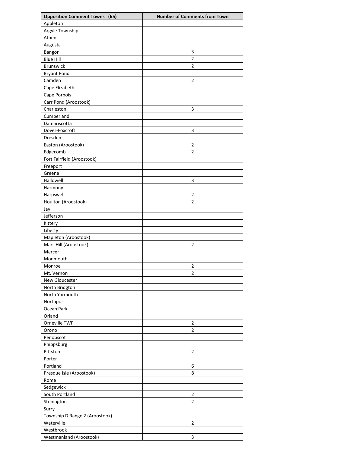| <b>Opposition Comment Towns (65)</b> | <b>Number of Comments from Town</b> |
|--------------------------------------|-------------------------------------|
| Appleton                             |                                     |
| Argyle Township                      |                                     |
| Athens                               |                                     |
| Augusta                              |                                     |
| Bangor                               | 3                                   |
| <b>Blue Hill</b>                     | $\overline{2}$                      |
| <b>Brunswick</b>                     | $\overline{2}$                      |
| <b>Bryant Pond</b>                   |                                     |
| Camden                               | $\overline{2}$                      |
| Cape Elizabeth                       |                                     |
| Cape Porpois                         |                                     |
| Carr Pond (Aroostook)                |                                     |
| Charleston                           | 3                                   |
| Cumberland                           |                                     |
| Damariscotta                         |                                     |
| Dover-Foxcroft                       | 3                                   |
| Dresden                              |                                     |
| Easton (Aroostook)                   | 2                                   |
| Edgecomb                             | $\overline{2}$                      |
| Fort Fairfield (Aroostook)           |                                     |
| Freeport                             |                                     |
| Greene                               |                                     |
| Hallowell                            | 3                                   |
| Harmony                              |                                     |
| Harpswell                            | 2                                   |
| Houlton (Aroostook)                  | 2                                   |
| Jay                                  |                                     |
| Jefferson                            |                                     |
| Kittery                              |                                     |
| Liberty                              |                                     |
| Mapleton (Aroostook)                 |                                     |
| Mars Hill (Aroostook)                | $\overline{2}$                      |
| Mercer                               |                                     |
| Monmouth                             |                                     |
| Monroe                               | $\mathfrak{p}$                      |
| Mt. Vernon                           | $\overline{2}$                      |
| New Gloucester                       |                                     |
| North Bridgton                       |                                     |
| North Yarmouth                       |                                     |
| Northport                            |                                     |
| Ocean Park                           |                                     |
| Orland                               |                                     |
| Orneville TWP                        | 2                                   |
| Orono                                | $\overline{2}$                      |
| Penobscot                            |                                     |
| Phippsburg                           |                                     |
| Pittston                             | $\overline{2}$                      |
| Porter                               |                                     |
| Portland                             | 6                                   |
| Presque Isle (Aroostook)             | 8                                   |
| Rome                                 |                                     |
| Sedgewick                            |                                     |
| South Portland                       | $\overline{2}$                      |
| Stonington                           | $\overline{2}$                      |
| Surry                                |                                     |
| Township D Range 2 (Aroostook)       |                                     |
| Waterville                           | $\overline{2}$                      |
| Westbrook                            |                                     |
| Westmanland (Aroostook)              | 3                                   |